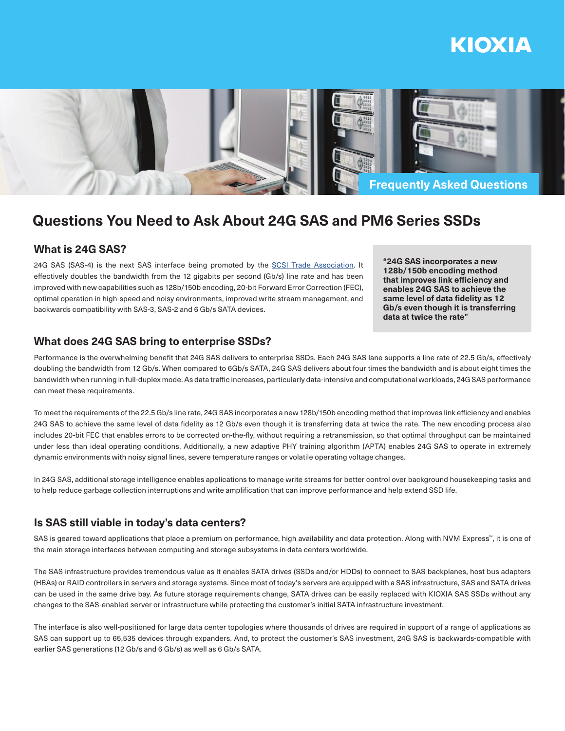# KIOXIA



## **Questions You Need to Ask About 24G SAS and PM6 Series SSDs**

## **What is 24G SAS?**

24G SAS (SAS-4) is the next SAS interface being promoted by the SCSI Trade Association. It effectively doubles the bandwidth from the 12 gigabits per second (Gb/s) line rate and has been improved with new capabilities such as 128b/150b encoding, 20-bit Forward Error Correction (FEC), optimal operation in high-speed and noisy environments, improved write stream management, and backwards compatibility with SAS-3, SAS-2 and 6 Gb/s SATA devices.

**"24G SAS incorporates a new 128b/150b encoding method that improves link efficiency and enables 24G SAS to achieve the same level of data fidelity as 12 Gb/s even though it is transferring data at twice the rate"**

## **What does 24G SAS bring to enterprise SSDs?**

Performance is the overwhelming benefit that 24G SAS delivers to enterprise SSDs. Each 24G SAS lane supports a line rate of 22.5 Gb/s, effectively doubling the bandwidth from 12 Gb/s. When compared to 6Gb/s SATA, 24G SAS delivers about four times the bandwidth and is about eight times the bandwidth when running in full-duplex mode. As data traffic increases, particularly data-intensive and computational workloads, 24G SAS performance can meet these requirements.

To meet the requirements of the 22.5 Gb/s line rate, 24G SAS incorporates a new 128b/150b encoding method that improves link efficiency and enables 24G SAS to achieve the same level of data fidelity as 12 Gb/s even though it is transferring data at twice the rate. The new encoding process also includes 20-bit FEC that enables errors to be corrected on-the-fly, without requiring a retransmission, so that optimal throughput can be maintained under less than ideal operating conditions. Additionally, a new adaptive PHY training algorithm (APTA) enables 24G SAS to operate in extremely dynamic environments with noisy signal lines, severe temperature ranges or volatile operating voltage changes.

In 24G SAS, additional storage intelligence enables applications to manage write streams for better control over background housekeeping tasks and to help reduce garbage collection interruptions and write amplification that can improve performance and help extend SSD life.

## **Is SAS still viable in today's data centers?**

SAS is geared toward applications that place a premium on performance, high availability and data protection. Along with NVM Express™, it is one of the main storage interfaces between computing and storage subsystems in data centers worldwide.

The SAS infrastructure provides tremendous value as it enables SATA drives (SSDs and/or HDDs) to connect to SAS backplanes, host bus adapters (HBAs) or RAID controllers in servers and storage systems. Since most of today's servers are equipped with a SAS infrastructure, SAS and SATA drives can be used in the same drive bay. As future storage requirements change, SATA drives can be easily replaced with KIOXIA SAS SSDs without any changes to the SAS-enabled server or infrastructure while protecting the customer's initial SATA infrastructure investment.

The interface is also well-positioned for large data center topologies where thousands of drives are required in support of a range of applications as SAS can support up to 65,535 devices through expanders. And, to protect the customer's SAS investment, 24G SAS is backwards-compatible with earlier SAS generations (12 Gb/s and 6 Gb/s) as well as 6 Gb/s SATA.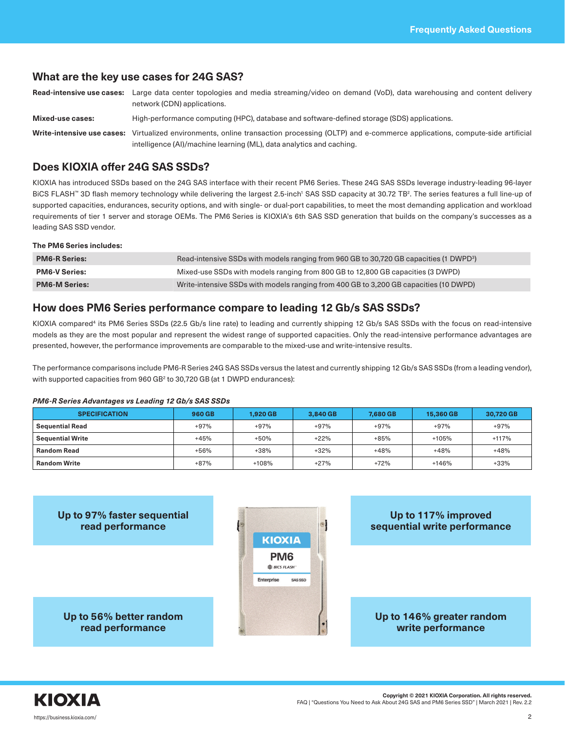### **What are the key use cases for 24G SAS?**

**Read-intensive use cases:** Large data center topologies and media streaming/video on demand (VoD), data warehousing and content delivery network (CDN) applications.

**Mixed-use cases:** High-performance computing (HPC), database and software-defined storage (SDS) applications.

**Write-intensive use cases:** Virtualized environments, online transaction processing (OLTP) and e-commerce applications, compute-side artificial intelligence (AI)/machine learning (ML), data analytics and caching.

## **Does KIOXIA offer 24G SAS SSDs?**

KIOXIA has introduced SSDs based on the 24G SAS interface with their recent PM6 Series. These 24G SAS SSDs leverage industry-leading 96-layer BiCS FLASH™ 3D flash memory technology while delivering the largest 2.5-inch' SAS SSD capacity at 30.72 TB². The series features a full line-up of supported capacities, endurances, security options, and with single- or dual-port capabilities, to meet the most demanding application and workload requirements of tier 1 server and storage OEMs. The PM6 Series is KIOXIA's 6th SAS SSD generation that builds on the company's successes as a leading SAS SSD vendor.

#### **The PM6 Series includes:**

| <b>PM6-R Series:</b> | Read-intensive SSDs with models ranging from 960 GB to 30,720 GB capacities (1 DWPD <sup>3</sup> ) |
|----------------------|----------------------------------------------------------------------------------------------------|
| <b>PM6-V Series:</b> | Mixed-use SSDs with models ranging from 800 GB to 12,800 GB capacities (3 DWPD)                    |
| <b>PM6-M Series:</b> | Write-intensive SSDs with models ranging from 400 GB to 3,200 GB capacities (10 DWPD)              |

## **How does PM6 Series performance compare to leading 12 Gb/s SAS SSDs?**

KIOXIA compared<sup>4</sup> its PM6 Series SSDs (22.5 Gb/s line rate) to leading and currently shipping 12 Gb/s SAS SSDs with the focus on read-intensive models as they are the most popular and represent the widest range of supported capacities. Only the read-intensive performance advantages are presented, however, the performance improvements are comparable to the mixed-use and write-intensive results.

The performance comparisons include PM6-R Series 24G SAS SSDs versus the latest and currently shipping 12 Gb/s SAS SSDs (from a leading vendor), with supported capacities from 960 GB<sup>2</sup> to 30,720 GB (at 1 DWPD endurances):

#### *PM6-R Series Advantages vs Leading 12 Gb/s SAS SSDs*

| <b>SPECIFICATION</b>    | 960 GB | 1.920 GB | 3.840 GB | 7.680 GB | 15.360 GB | 30.720 GB |
|-------------------------|--------|----------|----------|----------|-----------|-----------|
| <b>Sequential Read</b>  | $+97%$ | $+97%$   | $+97%$   | $+97%$   | $+97%$    | $+97%$    |
| <b>Sequential Write</b> | $+45%$ | $+50%$   | $+22%$   | $+85%$   | $+105%$   | $+117%$   |
| <b>Random Read</b>      | $+56%$ | $+38%$   | $+32%$   | $+48%$   | $+48%$    | $+48%$    |
| <b>Random Write</b>     | $+87%$ | $+108%$  | $+27%$   | $+72%$   | $+146%$   | $+33%$    |





**Copyright © 2021 KIOXIA Corporation. All rights reserved.** FAQ | "Questions You Need to Ask About 24G SAS and PM6 Series SSD" | March 2021 | Rev. 2.2